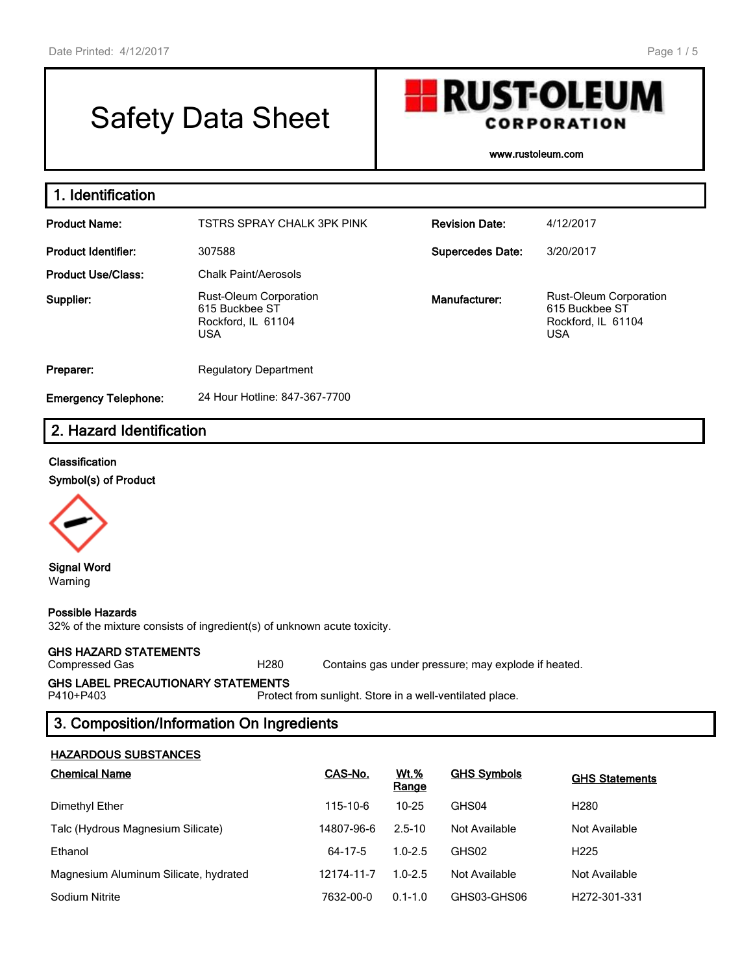# Safety Data Sheet

CORPORATION

**H** RUST-OLEUM

www.rustoleum.com

| 1. Identification           |                                                                                                      |                         |                                                                                     |
|-----------------------------|------------------------------------------------------------------------------------------------------|-------------------------|-------------------------------------------------------------------------------------|
| <b>Product Name:</b>        | TSTRS SPRAY CHALK 3PK PINK                                                                           | <b>Revision Date:</b>   | 4/12/2017                                                                           |
| <b>Product Identifier:</b>  | 307588                                                                                               | <b>Supercedes Date:</b> | 3/20/2017                                                                           |
| <b>Product Use/Class:</b>   | Chalk Paint/Aerosols                                                                                 |                         |                                                                                     |
| Supplier:                   | <b>Rust-Oleum Corporation</b><br>Manufacturer:<br>615 Buckbee ST<br>Rockford, IL 61104<br><b>USA</b> |                         | <b>Rust-Oleum Corporation</b><br>615 Buckbee ST<br>Rockford, IL 61104<br><b>USA</b> |
| Preparer:                   | <b>Regulatory Department</b>                                                                         |                         |                                                                                     |
| <b>Emergency Telephone:</b> | 24 Hour Hotline: 847-367-7700                                                                        |                         |                                                                                     |

### 2. Hazard Identification

#### Classification

Symbol(s) of Product



Signal Word Warning

#### Possible Hazards

32% of the mixture consists of ingredient(s) of unknown acute toxicity.

#### GHS HAZARD STATEMENTS

Compressed Gas H280 Contains gas under pressure; may explode if heated.

## GHS LABEL PRECAUTIONARY STATEMENTS<br>P410+P403 Protect

Protect from sunlight. Store in a well-ventilated place.

#### 3. Composition/Information On Ingredients

#### HAZARDOUS SUBSTANCES

| <b>Chemical Name</b>                  | CAS-No.    | <b>Wt.%</b><br>Range | <b>GHS Symbols</b> | <b>GHS Statements</b>     |
|---------------------------------------|------------|----------------------|--------------------|---------------------------|
| Dimethyl Ether                        | 115-10-6   | $10 - 25$            | GHS04              | H <sub>280</sub>          |
| Talc (Hydrous Magnesium Silicate)     | 14807-96-6 | $2.5 - 10$           | Not Available      | Not Available             |
| Ethanol                               | 64-17-5    | $1.0 - 2.5$          | GHS02              | H <sub>225</sub>          |
| Magnesium Aluminum Silicate, hydrated | 12174-11-7 | $1.0 - 2.5$          | Not Available      | Not Available             |
| Sodium Nitrite                        | 7632-00-0  | $0.1 - 1.0$          | GHS03-GHS06        | H <sub>272</sub> -301-331 |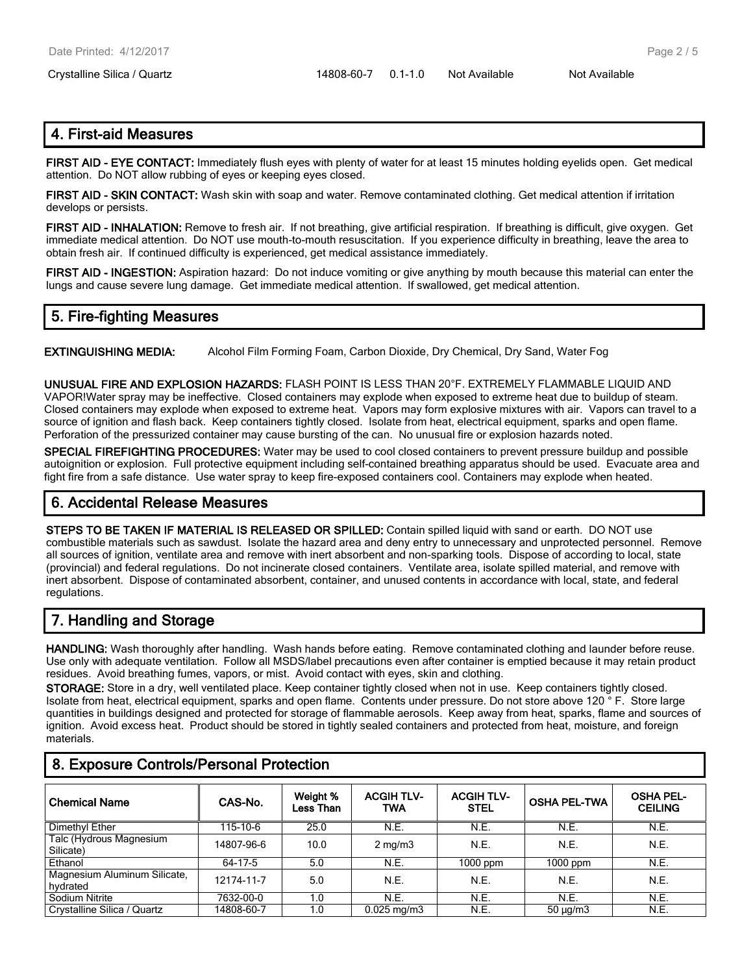#### 4. First-aid Measures

FIRST AID - EYE CONTACT: Immediately flush eyes with plenty of water for at least 15 minutes holding eyelids open. Get medical attention. Do NOT allow rubbing of eyes or keeping eyes closed.

FIRST AID - SKIN CONTACT: Wash skin with soap and water. Remove contaminated clothing. Get medical attention if irritation develops or persists.

FIRST AID - INHALATION: Remove to fresh air. If not breathing, give artificial respiration. If breathing is difficult, give oxygen. Get immediate medical attention. Do NOT use mouth-to-mouth resuscitation. If you experience difficulty in breathing, leave the area to obtain fresh air. If continued difficulty is experienced, get medical assistance immediately.

FIRST AID - INGESTION: Aspiration hazard: Do not induce vomiting or give anything by mouth because this material can enter the lungs and cause severe lung damage. Get immediate medical attention. If swallowed, get medical attention.

#### 5. Fire-fighting Measures

EXTINGUISHING MEDIA: Alcohol Film Forming Foam, Carbon Dioxide, Dry Chemical, Dry Sand, Water Fog

UNUSUAL FIRE AND EXPLOSION HAZARDS: FLASH POINT IS LESS THAN 20°F. EXTREMELY FLAMMABLE LIQUID AND VAPOR!Water spray may be ineffective. Closed containers may explode when exposed to extreme heat due to buildup of steam. Closed containers may explode when exposed to extreme heat. Vapors may form explosive mixtures with air. Vapors can travel to a source of ignition and flash back. Keep containers tightly closed. Isolate from heat, electrical equipment, sparks and open flame. Perforation of the pressurized container may cause bursting of the can. No unusual fire or explosion hazards noted.

SPECIAL FIREFIGHTING PROCEDURES: Water may be used to cool closed containers to prevent pressure buildup and possible autoignition or explosion. Full protective equipment including self-contained breathing apparatus should be used. Evacuate area and fight fire from a safe distance. Use water spray to keep fire-exposed containers cool. Containers may explode when heated.

#### 6. Accidental Release Measures

STEPS TO BE TAKEN IF MATERIAL IS RELEASED OR SPILLED: Contain spilled liquid with sand or earth. DO NOT use combustible materials such as sawdust. Isolate the hazard area and deny entry to unnecessary and unprotected personnel. Remove all sources of ignition, ventilate area and remove with inert absorbent and non-sparking tools. Dispose of according to local, state (provincial) and federal regulations. Do not incinerate closed containers. Ventilate area, isolate spilled material, and remove with inert absorbent. Dispose of contaminated absorbent, container, and unused contents in accordance with local, state, and federal regulations.

#### 7. Handling and Storage

HANDLING: Wash thoroughly after handling. Wash hands before eating. Remove contaminated clothing and launder before reuse. Use only with adequate ventilation. Follow all MSDS/label precautions even after container is emptied because it may retain product residues. Avoid breathing fumes, vapors, or mist. Avoid contact with eyes, skin and clothing.

STORAGE: Store in a dry, well ventilated place. Keep container tightly closed when not in use. Keep containers tightly closed. Isolate from heat, electrical equipment, sparks and open flame. Contents under pressure. Do not store above 120 ° F. Store large quantities in buildings designed and protected for storage of flammable aerosols. Keep away from heat, sparks, flame and sources of ignition. Avoid excess heat. Product should be stored in tightly sealed containers and protected from heat, moisture, and foreign materials.

| <b>Chemical Name</b>                     | CAS-No.    | Weight %<br>Less Than | <b>ACGIH TLV-</b><br>TWA | <b>ACGIH TLV-</b><br><b>STEL</b> | <b>OSHA PEL-TWA</b> | <b>OSHA PEL-</b><br><b>CEILING</b> |
|------------------------------------------|------------|-----------------------|--------------------------|----------------------------------|---------------------|------------------------------------|
| Dimethyl Ether                           | 115-10-6   | 25.0                  | N.E.                     | N.E.                             | N.E.                | N.E.                               |
| Talc (Hydrous Magnesium<br>Silicate)     | 14807-96-6 | 10.0                  | $2 \text{ mg/m}$         | N.E.                             | N.E.                | N.E.                               |
| Ethanol                                  | 64-17-5    | 5.0                   | N.E.                     | $1000$ ppm                       | $1000$ ppm          | N.E.                               |
| Magnesium Aluminum Silicate.<br>hydrated | 12174-11-7 | 5.0                   | N.E.                     | N.E.                             | N.E.                | N.E.                               |
| Sodium Nitrite                           | 7632-00-0  | 1.0                   | N.E.                     | N.E.                             | N.E.                | N.E.                               |
| Crystalline Silica / Quartz              | 14808-60-7 | 1.0                   | $0.025$ mg/m $3$         | N.E.                             | $50 \mu g/m3$       | N.E.                               |

#### 8. Exposure Controls/Personal Protection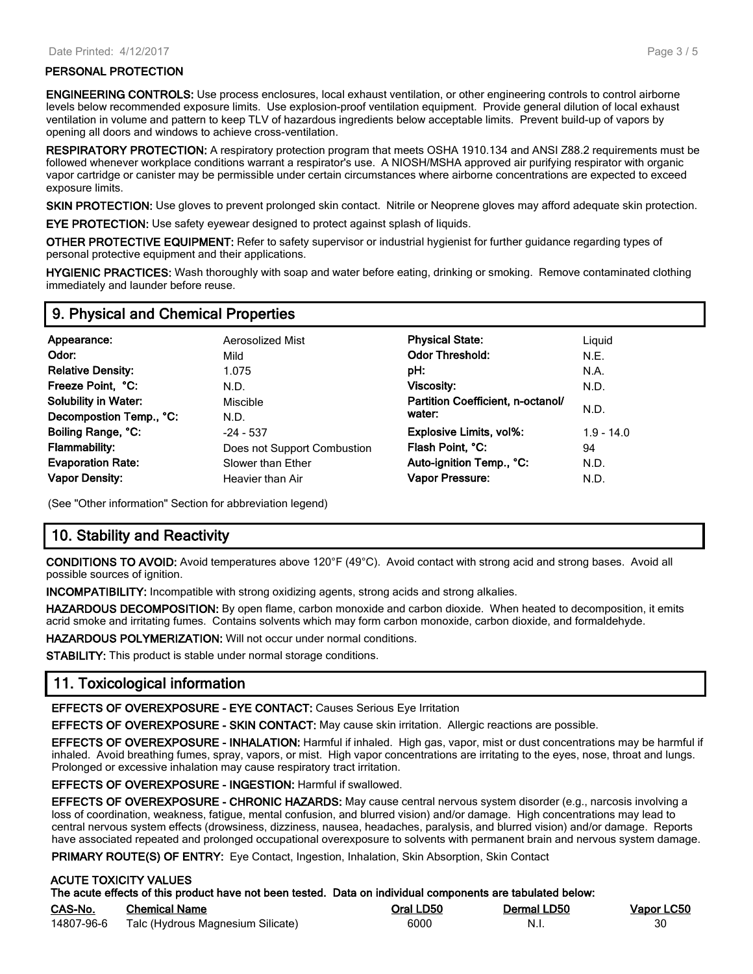#### PERSONAL PROTECTION

ENGINEERING CONTROLS: Use process enclosures, local exhaust ventilation, or other engineering controls to control airborne levels below recommended exposure limits. Use explosion-proof ventilation equipment. Provide general dilution of local exhaust ventilation in volume and pattern to keep TLV of hazardous ingredients below acceptable limits. Prevent build-up of vapors by opening all doors and windows to achieve cross-ventilation.

RESPIRATORY PROTECTION: A respiratory protection program that meets OSHA 1910.134 and ANSI Z88.2 requirements must be followed whenever workplace conditions warrant a respirator's use. A NIOSH/MSHA approved air purifying respirator with organic vapor cartridge or canister may be permissible under certain circumstances where airborne concentrations are expected to exceed exposure limits.

SKIN PROTECTION: Use gloves to prevent prolonged skin contact. Nitrile or Neoprene gloves may afford adequate skin protection.

EYE PROTECTION: Use safety eyewear designed to protect against splash of liquids.

OTHER PROTECTIVE EQUIPMENT: Refer to safety supervisor or industrial hygienist for further guidance regarding types of personal protective equipment and their applications.

HYGIENIC PRACTICES: Wash thoroughly with soap and water before eating, drinking or smoking. Remove contaminated clothing immediately and launder before reuse.

#### 9. Physical and Chemical Properties

| Appearance:<br>Odor:<br><b>Relative Density:</b><br>Freeze Point, °C:<br><b>Solubility in Water:</b> | Aerosolized Mist<br>Mild<br>1.075<br>N.D.<br>Miscible | <b>Physical State:</b><br><b>Odor Threshold:</b><br>pH:<br>Viscosity:<br>Partition Coefficient, n-octanol/ | Liguid<br>N.E.<br>N.A.<br>N.D. |
|------------------------------------------------------------------------------------------------------|-------------------------------------------------------|------------------------------------------------------------------------------------------------------------|--------------------------------|
| Decompostion Temp., °C:                                                                              | N.D.                                                  | water:                                                                                                     | N.D.                           |
| Boiling Range, °C:                                                                                   | $-24 - 537$                                           | <b>Explosive Limits, vol%:</b>                                                                             | $1.9 - 14.0$                   |
| <b>Flammability:</b>                                                                                 | Does not Support Combustion                           | Flash Point, °C:                                                                                           | 94                             |
| <b>Evaporation Rate:</b>                                                                             | Slower than Ether                                     | Auto-ignition Temp., °C:                                                                                   | N.D.                           |
| <b>Vapor Density:</b>                                                                                | Heavier than Air                                      | Vapor Pressure:                                                                                            | N.D.                           |

(See "Other information" Section for abbreviation legend)

#### 10. Stability and Reactivity

CONDITIONS TO AVOID: Avoid temperatures above 120°F (49°C). Avoid contact with strong acid and strong bases. Avoid all possible sources of ignition.

INCOMPATIBILITY: Incompatible with strong oxidizing agents, strong acids and strong alkalies.

HAZARDOUS DECOMPOSITION: By open flame, carbon monoxide and carbon dioxide. When heated to decomposition, it emits acrid smoke and irritating fumes. Contains solvents which may form carbon monoxide, carbon dioxide, and formaldehyde.

HAZARDOUS POLYMERIZATION: Will not occur under normal conditions.

STABILITY: This product is stable under normal storage conditions.

#### 11. Toxicological information

EFFECTS OF OVEREXPOSURE - EYE CONTACT: Causes Serious Eye Irritation

EFFECTS OF OVEREXPOSURE - SKIN CONTACT: May cause skin irritation. Allergic reactions are possible.

EFFECTS OF OVEREXPOSURE - INHALATION: Harmful if inhaled. High gas, vapor, mist or dust concentrations may be harmful if inhaled. Avoid breathing fumes, spray, vapors, or mist. High vapor concentrations are irritating to the eyes, nose, throat and lungs. Prolonged or excessive inhalation may cause respiratory tract irritation.

EFFECTS OF OVEREXPOSURE - INGESTION: Harmful if swallowed.

EFFECTS OF OVEREXPOSURE - CHRONIC HAZARDS: May cause central nervous system disorder (e.g., narcosis involving a loss of coordination, weakness, fatigue, mental confusion, and blurred vision) and/or damage. High concentrations may lead to central nervous system effects (drowsiness, dizziness, nausea, headaches, paralysis, and blurred vision) and/or damage. Reports have associated repeated and prolonged occupational overexposure to solvents with permanent brain and nervous system damage.

PRIMARY ROUTE(S) OF ENTRY: Eye Contact, Ingestion, Inhalation, Skin Absorption, Skin Contact

#### ACUTE TOXICITY VALUES

|            | The acute effects of this product have not been tested. Data on individual components are tabulated below: |           |             |            |
|------------|------------------------------------------------------------------------------------------------------------|-----------|-------------|------------|
| CAS-No.    | Chemical Name                                                                                              | Oral LD50 | Dermal LD50 | Vapor LC50 |
| 14807-96-6 | Talc (Hydrous Magnesium Silicate)                                                                          | 6000      | -N.i        | 30         |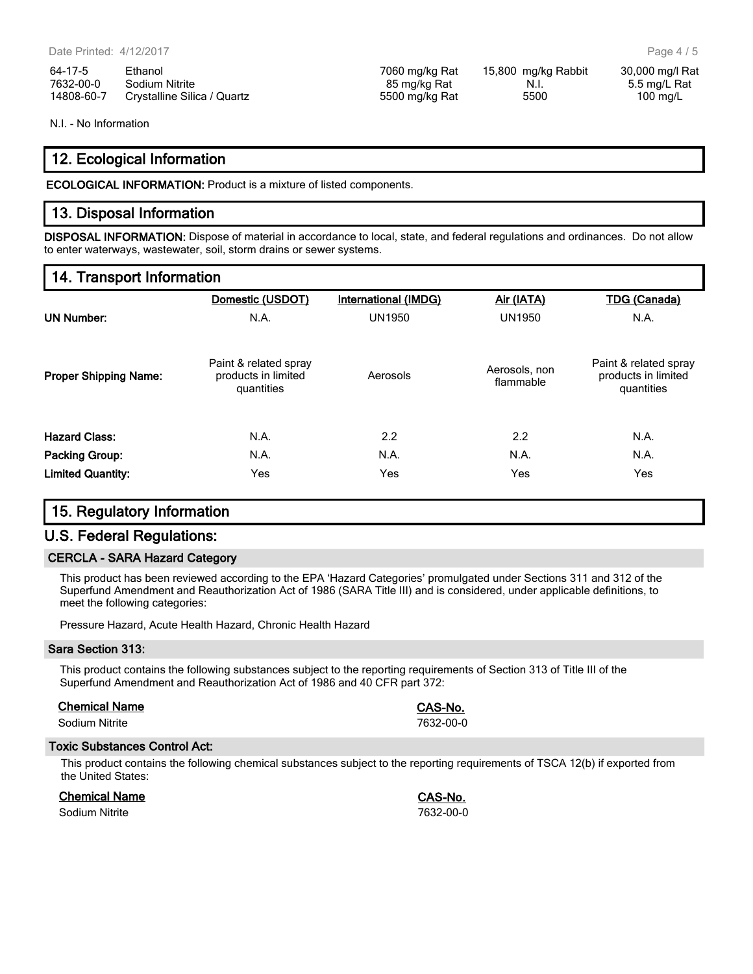64-17-5 Ethanol 7060 mg/kg Rat 15,800 mg/kg Rabbit 30,000 mg/l Rat 7632-00-0 Sodium Nitrite 85 mg/kg Rat N.I. 5.5 mg/L Rat 14808-60-7 Crystalline Silica / Quartz 5500 mg/kg Rat 5500 100 mg/L

N.I. - No Information

#### 12. Ecological Information

ECOLOGICAL INFORMATION: Product is a mixture of listed components.

#### 13. Disposal Information

DISPOSAL INFORMATION: Dispose of material in accordance to local, state, and federal regulations and ordinances. Do not allow to enter waterways, wastewater, soil, storm drains or sewer systems.

#### 14. Transport Information

|                              | Domestic (USDOT)                                           | International (IMDG) | Air (IATA)                 | <b>TDG</b> (Canada)                                        |
|------------------------------|------------------------------------------------------------|----------------------|----------------------------|------------------------------------------------------------|
| <b>UN Number:</b>            | N.A.                                                       | <b>UN1950</b>        | <b>UN1950</b>              | N.A.                                                       |
| <b>Proper Shipping Name:</b> | Paint & related spray<br>products in limited<br>quantities | Aerosols             | Aerosols, non<br>flammable | Paint & related spray<br>products in limited<br>quantities |
| <b>Hazard Class:</b>         | N.A.                                                       | 2.2                  | 2.2                        | N.A.                                                       |
| <b>Packing Group:</b>        | N.A.                                                       | N.A.                 | N.A.                       | N.A.                                                       |
| <b>Limited Quantity:</b>     | Yes                                                        | Yes                  | Yes                        | Yes                                                        |

#### 15. Regulatory Information

#### U.S. Federal Regulations:

#### CERCLA - SARA Hazard Category

This product has been reviewed according to the EPA 'Hazard Categories' promulgated under Sections 311 and 312 of the Superfund Amendment and Reauthorization Act of 1986 (SARA Title III) and is considered, under applicable definitions, to meet the following categories:

Pressure Hazard, Acute Health Hazard, Chronic Health Hazard

#### Sara Section 313:

This product contains the following substances subject to the reporting requirements of Section 313 of Title III of the Superfund Amendment and Reauthorization Act of 1986 and 40 CFR part 372:

#### Chemical Name CAS-No.

Sodium Nitrite 7632-00-0

#### Toxic Substances Control Act:

This product contains the following chemical substances subject to the reporting requirements of TSCA 12(b) if exported from the United States:

| <b>Chemical Name</b> |  |
|----------------------|--|
|                      |  |

Sodium Nitrite 7632-00-0

CAS-No.